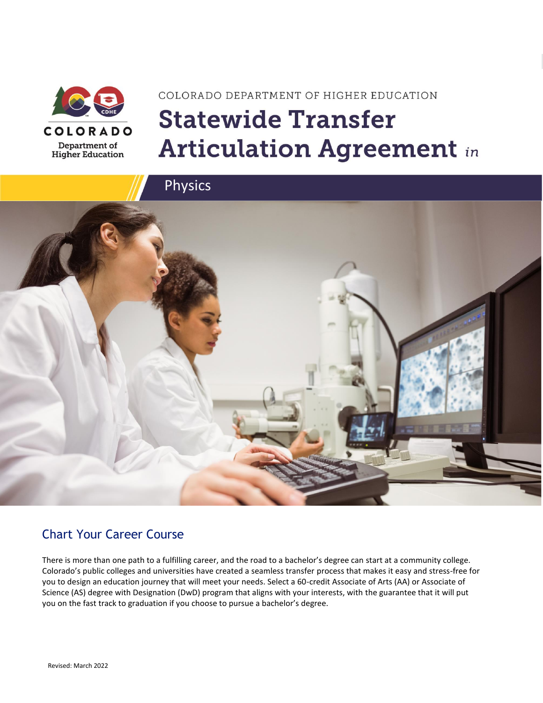

# COLORADO DEPARTMENT OF HIGHER EDUCATION **Statewide Transfer Articulation Agreement in**



### Chart Your Career Course

There is more than one path to a fulfilling career, and the road to a bachelor's degree can start at a community college. Colorado's public colleges and universities have created a seamless transfer process that makes it easy and stress-free for you to design an education journey that will meet your needs. Select a 60-credit Associate of Arts (AA) or Associate of Science (AS) degree with Designation (DwD) program that aligns with your interests, with the guarantee that it will put you on the fast track to graduation if you choose to pursue a bachelor's degree.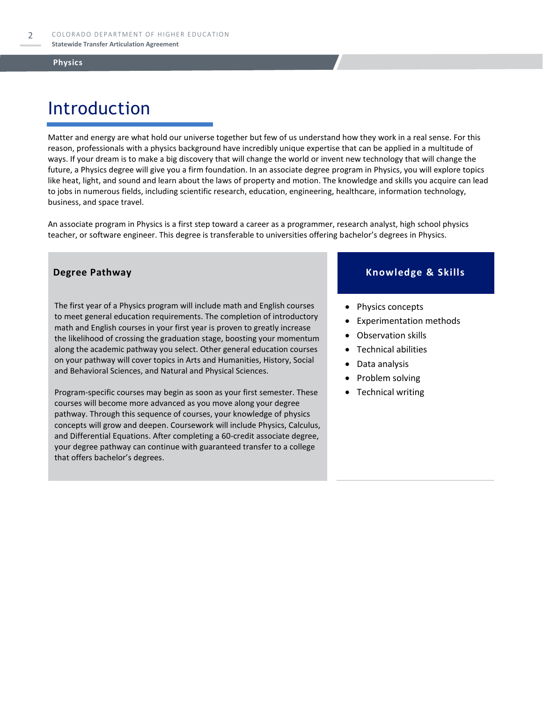## Introduction

Matter and energy are what hold our universe together but few of us understand how they work in a real sense. For this reason, professionals with a physics background have incredibly unique expertise that can be applied in a multitude of ways. If your dream is to make a big discovery that will change the world or invent new technology that will change the future, a Physics degree will give you a firm foundation. In an associate degree program in Physics, you will explore topics like heat, light, and sound and learn about the laws of property and motion. The knowledge and skills you acquire can lead to jobs in numerous fields, including scientific research, education, engineering, healthcare, information technology, business, and space travel.

An associate program in Physics is a first step toward a career as a programmer, research analyst, high school physics teacher, or software engineer. This degree is transferable to universities offering bachelor's degrees in Physics.

The first year of a Physics program will include math and English courses to meet general education requirements. The completion of introductory math and English courses in your first year is proven to greatly increase the likelihood of crossing the graduation stage, boosting your momentum along the academic pathway you select. Other general education courses on your pathway will cover topics in Arts and Humanities, History, Social and Behavioral Sciences, and Natural and Physical Sciences.

Program-specific courses may begin as soon as your first semester. These courses will become more advanced as you move along your degree pathway. Through this sequence of courses, your knowledge of physics concepts will grow and deepen. Coursework will include Physics, Calculus, and Differential Equations. After completing a 60-credit associate degree, your degree pathway can continue with guaranteed transfer to a college that offers bachelor's degrees.

#### **Degree Pathway Knowledge & Skills**

- Physics concepts
- Experimentation methods
- Observation skills
- Technical abilities
- Data analysis
- Problem solving
- Technical writing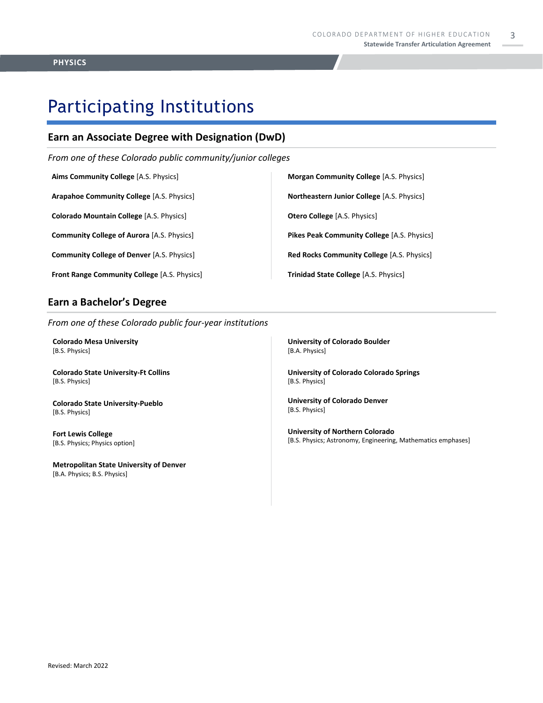3

### Participating Institutions

### **Earn an Associate Degree with Designation (DwD)**

*From one of these Colorado public community/junior colleges*

**Aims Community College** [A.S. Physics]

**Arapahoe Community College** [A.S. Physics]

**Colorado Mountain College** [A.S. Physics]

**Community College of Aurora** [A.S. Physics]

**Community College of Denver** [A.S. Physics]

**Front Range Community College** [A.S. Physics]

#### **Earn a Bachelor's Degree**

*From one of these Colorado public four-year institutions*

**Colorado Mesa University**  [B.S. Physics]

**Colorado State University-Ft Collins**  [B.S. Physics]

**Colorado State University-Pueblo**  [B.S. Physics]

**Fort Lewis College**  [B.S. Physics; Physics option]

**Metropolitan State University of Denver**  [B.A. Physics; B.S. Physics]

**University of Colorado Boulder** 

**Trinidad State College** [A.S. Physics]

[B.A. Physics]

**University of Colorado Colorado Springs** [B.S. Physics]

**Morgan Community College** [A.S. Physics]

**Northeastern Junior College** [A.S. Physics]

**Pikes Peak Community College** [A.S. Physics]

**Red Rocks Community College** [A.S. Physics]

**Otero College** [A.S. Physics]

**University of Colorado Denver** [B.S. Physics]

**University of Northern Colorado** [B.S. Physics; Astronomy, Engineering, Mathematics emphases]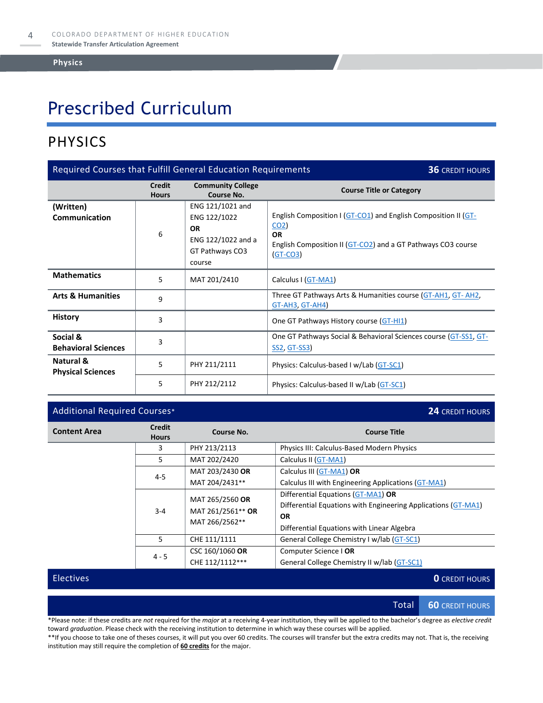## Prescribed Curriculum

### PHYSICS

| Required Courses that Fulfill General Education Requirements<br><b>36 CREDIT HOURS</b> |                               |                                                                                                  |                                                                                                                                                                              |  |
|----------------------------------------------------------------------------------------|-------------------------------|--------------------------------------------------------------------------------------------------|------------------------------------------------------------------------------------------------------------------------------------------------------------------------------|--|
|                                                                                        | <b>Credit</b><br><b>Hours</b> | <b>Community College</b><br>Course No.                                                           | <b>Course Title or Category</b>                                                                                                                                              |  |
| (Written)<br><b>Communication</b>                                                      | 6                             | ENG 121/1021 and<br>ENG 122/1022<br><b>OR</b><br>ENG 122/1022 and a<br>GT Pathways CO3<br>course | English Composition I (GT-CO1) and English Composition II (GT-<br>CO <sub>2</sub><br><b>OR</b><br>English Composition II (GT-CO2) and a GT Pathways CO3 course<br>$(GT-CO3)$ |  |
| <b>Mathematics</b>                                                                     | 5                             | MAT 201/2410                                                                                     | Calculus I (GT-MA1)                                                                                                                                                          |  |
| <b>Arts &amp; Humanities</b>                                                           | 9                             |                                                                                                  | Three GT Pathways Arts & Humanities course (GT-AH1, GT-AH2,<br>$GT-AH3, GT-AH4)$                                                                                             |  |
| <b>History</b>                                                                         | 3                             |                                                                                                  | One GT Pathways History course (GT-HI1)                                                                                                                                      |  |
| Social &<br><b>Behavioral Sciences</b>                                                 | 3                             |                                                                                                  | One GT Pathways Social & Behavioral Sciences course (GT-SS1, GT-<br><u>SS2, GT-SS3</u>                                                                                       |  |
| Natural &<br><b>Physical Sciences</b>                                                  | 5                             | PHY 211/2111                                                                                     | Physics: Calculus-based I w/Lab (GT-SC1)                                                                                                                                     |  |
|                                                                                        | 5                             | PHY 212/2112                                                                                     | Physics: Calculus-based II w/Lab (GT-SC1)                                                                                                                                    |  |

### Additional Required Courses\* **24** CREDIT HOURS

| <b>Content Area</b> | <b>Credit</b><br><b>Hours</b>                          | Course No.                                             | <b>Course Title</b>                                                                                                                                            |  |
|---------------------|--------------------------------------------------------|--------------------------------------------------------|----------------------------------------------------------------------------------------------------------------------------------------------------------------|--|
|                     | 3                                                      | PHY 213/2113                                           | Physics III: Calculus-Based Modern Physics                                                                                                                     |  |
|                     | 5                                                      | MAT 202/2420                                           | Calculus II (GT-MA1)                                                                                                                                           |  |
|                     | MAT 203/2430 OR<br>Calculus III (GT-MA1) OR<br>$4 - 5$ |                                                        |                                                                                                                                                                |  |
|                     |                                                        | Calculus III with Engineering Applications (GT-MA1)    |                                                                                                                                                                |  |
|                     | $3 - 4$                                                | MAT 265/2560 OR<br>MAT 261/2561** OR<br>MAT 266/2562** | Differential Equations (GT-MA1) OR<br>Differential Equations with Engineering Applications (GT-MA1)<br><b>OR</b><br>Differential Equations with Linear Algebra |  |
|                     | 5                                                      | CHE 111/1111                                           | General College Chemistry I w/lab (GT-SC1)                                                                                                                     |  |
|                     | $4 - 5$                                                | CSC 160/1060 OR                                        | Computer Science   OR                                                                                                                                          |  |
|                     |                                                        | CHE 112/1112***                                        | General College Chemistry II w/lab (GT-SC1)                                                                                                                    |  |

Electives **0** CREDIT HOURS

Total **60** CREDIT HOURS

\*Please note: if these credits are *not* required for the *major* at a receiving 4-year institution, they will be applied to the bachelor's degree as *elective credit* toward *graduation*. Please check with the receiving institution to determine in which way these courses will be applied.

\*\*If you choose to take one of theses courses, it will put you over 60 credits. The courses will transfer but the extra credits may not. That is, the receiving institution may still require the completion of **60 credits** for the major.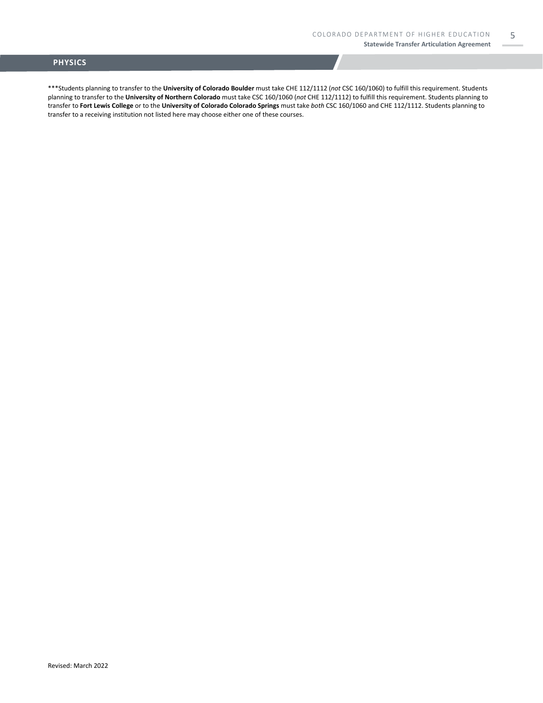5

#### **PHYSICS**

\*\*\*Students planning to transfer to the **University of Colorado Boulder** must take CHE 112/1112 (*not* CSC 160/1060) to fulfill this requirement. Students planning to transfer to the **University of Northern Colorado** must take CSC 160/1060 (*not* CHE 112/1112) to fulfill this requirement. Students planning to transfer to **Fort Lewis College** or to the **University of Colorado Colorado Springs** must take *both* CSC 160/1060 and CHE 112/1112. Students planning to transfer to a receiving institution not listed here may choose either one of these courses.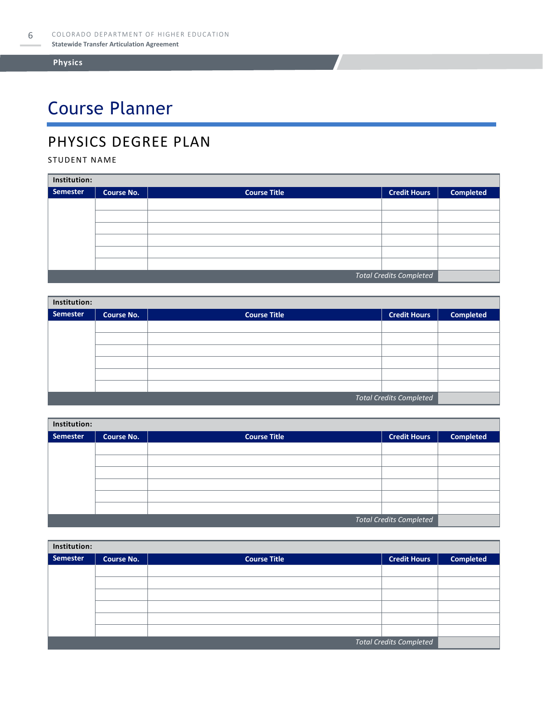# Course Planner

### PHYSICS DEGREE PLAN

#### STUDENT NAME

| Institution:                   |                   |                     |                     |                  |  |
|--------------------------------|-------------------|---------------------|---------------------|------------------|--|
| Semester                       | <b>Course No.</b> | <b>Course Title</b> | <b>Credit Hours</b> | <b>Completed</b> |  |
|                                |                   |                     |                     |                  |  |
|                                |                   |                     |                     |                  |  |
|                                |                   |                     |                     |                  |  |
|                                |                   |                     |                     |                  |  |
|                                |                   |                     |                     |                  |  |
|                                |                   |                     |                     |                  |  |
| <b>Total Credits Completed</b> |                   |                     |                     |                  |  |

| Institution:                   |                   |                     |                     |                  |  |
|--------------------------------|-------------------|---------------------|---------------------|------------------|--|
| Semester                       | <b>Course No.</b> | <b>Course Title</b> | <b>Credit Hours</b> | <b>Completed</b> |  |
|                                |                   |                     |                     |                  |  |
|                                |                   |                     |                     |                  |  |
|                                |                   |                     |                     |                  |  |
|                                |                   |                     |                     |                  |  |
|                                |                   |                     |                     |                  |  |
|                                |                   |                     |                     |                  |  |
| <b>Total Credits Completed</b> |                   |                     |                     |                  |  |

| Institution: |            |                     |                                |                  |  |
|--------------|------------|---------------------|--------------------------------|------------------|--|
| Semester     | Course No. | <b>Course Title</b> | <b>Credit Hours</b>            | <b>Completed</b> |  |
|              |            |                     |                                |                  |  |
|              |            |                     |                                |                  |  |
|              |            |                     |                                |                  |  |
|              |            |                     |                                |                  |  |
|              |            |                     |                                |                  |  |
|              |            |                     |                                |                  |  |
|              |            |                     | <b>Total Credits Completed</b> |                  |  |

| Institution:                   |                   |                     |                     |                  |  |
|--------------------------------|-------------------|---------------------|---------------------|------------------|--|
| <b>Semester</b>                | <b>Course No.</b> | <b>Course Title</b> | <b>Credit Hours</b> | <b>Completed</b> |  |
|                                |                   |                     |                     |                  |  |
|                                |                   |                     |                     |                  |  |
|                                |                   |                     |                     |                  |  |
|                                |                   |                     |                     |                  |  |
|                                |                   |                     |                     |                  |  |
|                                |                   |                     |                     |                  |  |
| <b>Total Credits Completed</b> |                   |                     |                     |                  |  |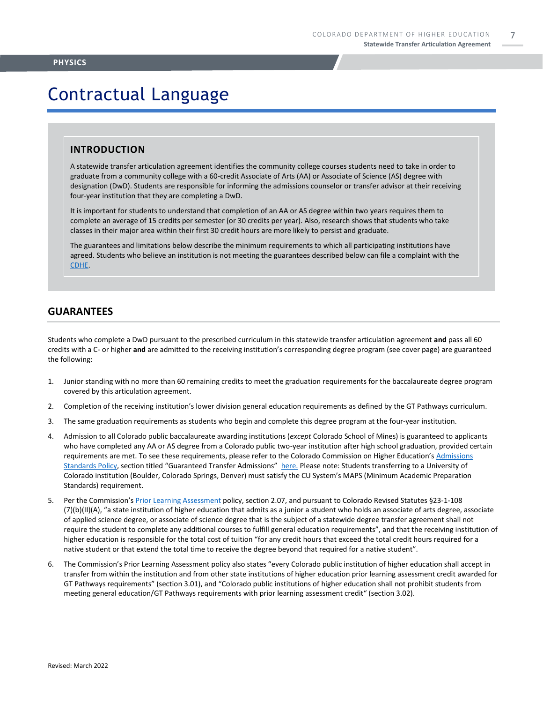7

### Contractual Language

#### **INTRODUCTION**

A statewide transfer articulation agreement identifies the community college courses students need to take in order to graduate from a community college with a 60-credit Associate of Arts (AA) or Associate of Science (AS) degree with designation (DwD). Students are responsible for informing the admissions counselor or transfer advisor at their receiving four-year institution that they are completing a DwD.

It is important for students to understand that completion of an AA or AS degree within two years requires them to complete an average of 15 credits per semester (or 30 credits per year). Also, research shows that students who take classes in their major area within their first 30 credit hours are more likely to persist and graduate.

The guarantees and limitations below describe the minimum requirements to which all participating institutions have agreed. Students who believe an institution is not meeting the guarantees described below can file a complaint with the [CDHE.](https://highered.colorado.gov/filing-student-complaint)

#### **GUARANTEES**

Revised: March 2022

Students who complete a DwD pursuant to the prescribed curriculum in this statewide transfer articulation agreement **and** pass all 60 credits with a C- or higher **and** are admitted to the receiving institution's corresponding degree program (see cover page) are guaranteed the following:

- 1. Junior standing with no more than 60 remaining credits to meet the graduation requirements for the baccalaureate degree program covered by this articulation agreement.
- 2. Completion of the receiving institution's lower division general education requirements as defined by the GT Pathways curriculum.
- 3. The same graduation requirements as students who begin and complete this degree program at the four-year institution.
- 4. Admission to all Colorado public baccalaureate awarding institutions (*except* Colorado School of Mines) is guaranteed to applicants who have completed any AA or AS degree from a Colorado public two-year institution after high school graduation, provided certain requirements are met. To see these requirements, please refer to the Colorado Commission on Higher Education's [Admissions](https://highered.colorado.gov/sites/highered/files/2020-03/i-partf_0.pdf)  [Standards Policy](https://highered.colorado.gov/sites/highered/files/2020-03/i-partf_0.pdf), section titled "Guaranteed Transfer Admissions" [here.](https://highered.colorado.gov/educators/policy-funding/cche-policies-procedures) Please note: Students transferring to a University of Colorado institution (Boulder, Colorado Springs, Denver) must satisfy the CU System's MAPS (Minimum Academic Preparation Standards) requirement.
- 5. Per the Commission's [Prior Learning Assessment](https://highered.colorado.gov/sites/highered/files/2020-03/i-partx.pdf) policy, section 2.07, and pursuant to Colorado Revised Statutes §23-1-108 (7)(b)(II)(A), "a state institution of higher education that admits as a junior a student who holds an associate of arts degree, associate of applied science degree, or associate of science degree that is the subject of a statewide degree transfer agreement shall not require the student to complete any additional courses to fulfill general education requirements", and that the receiving institution of higher education is responsible for the total cost of tuition "for any credit hours that exceed the total credit hours required for a native student or that extend the total time to receive the degree beyond that required for a native student".
- 6. The Commission's Prior Learning Assessment policy also states "every Colorado public institution of higher education shall accept in transfer from within the institution and from other state institutions of higher education prior learning assessment credit awarded for GT Pathways requirements" (section 3.01), and "Colorado public institutions of higher education shall not prohibit students from meeting general education/GT Pathways requirements with prior learning assessment credit" (section 3.02).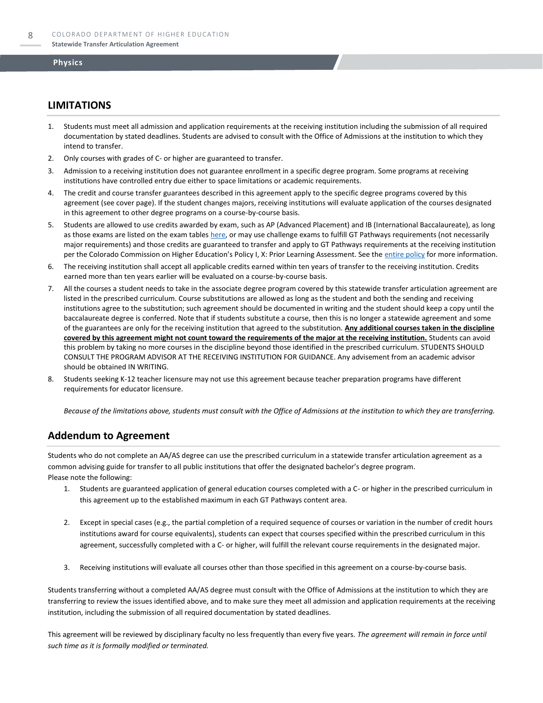#### **LIMITATIONS**

- 1. Students must meet all admission and application requirements at the receiving institution including the submission of all required documentation by stated deadlines. Students are advised to consult with the Office of Admissions at the institution to which they intend to transfer.
- 2. Only courses with grades of C- or higher are guaranteed to transfer.
- 3. Admission to a receiving institution does not guarantee enrollment in a specific degree program. Some programs at receiving institutions have controlled entry due either to space limitations or academic requirements.
- 4. The credit and course transfer guarantees described in this agreement apply to the specific degree programs covered by this agreement (see cover page). If the student changes majors, receiving institutions will evaluate application of the courses designated in this agreement to other degree programs on a course-by-course basis.
- 5. Students are allowed to use credits awarded by exam, such as AP (Advanced Placement) and IB (International Baccalaureate), as long as those exams are listed on the exam table[s here,](https://highered.colorado.gov/get-credit-for-what-you-already-know) or may use challenge exams to fulfill GT Pathways requirements (not necessarily major requirements) and those credits are guaranteed to transfer and apply to GT Pathways requirements at the receiving institution per the Colorado Commission on Higher Education's Policy I, X: Prior Learning Assessment. See the [entire policy](https://highered.colorado.gov/sites/highered/files/2020-03/i-partx.pdf) for more information.
- 6. The receiving institution shall accept all applicable credits earned within ten years of transfer to the receiving institution. Credits earned more than ten years earlier will be evaluated on a course-by-course basis.
- 7. All the courses a student needs to take in the associate degree program covered by this statewide transfer articulation agreement are listed in the prescribed curriculum. Course substitutions are allowed as long as the student and both the sending and receiving institutions agree to the substitution; such agreement should be documented in writing and the student should keep a copy until the baccalaureate degree is conferred. Note that if students substitute a course, then this is no longer a statewide agreement and some of the guarantees are only for the receiving institution that agreed to the substitution. **Any additional courses taken in the discipline covered by this agreement might not count toward the requirements of the major at the receiving institution.** Students can avoid this problem by taking no more courses in the discipline beyond those identified in the prescribed curriculum. STUDENTS SHOULD CONSULT THE PROGRAM ADVISOR AT THE RECEIVING INSTITUTION FOR GUIDANCE. Any advisement from an academic advisor should be obtained IN WRITING.
- Students seeking K-12 teacher licensure may not use this agreement because teacher preparation programs have different requirements for educator licensure.

*Because of the limitations above, students must consult with the Office of Admissions at the institution to which they are transferring.*

#### **Addendum to Agreement**

Students who do not complete an AA/AS degree can use the prescribed curriculum in a statewide transfer articulation agreement as a common advising guide for transfer to all public institutions that offer the designated bachelor's degree program. Please note the following:

- 1. Students are guaranteed application of general education courses completed with a C- or higher in the prescribed curriculum in this agreement up to the established maximum in each GT Pathways content area.
- 2. Except in special cases (e.g., the partial completion of a required sequence of courses or variation in the number of credit hours institutions award for course equivalents), students can expect that courses specified within the prescribed curriculum in this agreement, successfully completed with a C- or higher, will fulfill the relevant course requirements in the designated major.
- 3. Receiving institutions will evaluate all courses other than those specified in this agreement on a course-by-course basis.

Students transferring without a completed AA/AS degree must consult with the Office of Admissions at the institution to which they are transferring to review the issues identified above, and to make sure they meet all admission and application requirements at the receiving institution, including the submission of all required documentation by stated deadlines.

This agreement will be reviewed by disciplinary faculty no less frequently than every five years. *The agreement will remain in force until such time as it is formally modified or terminated.*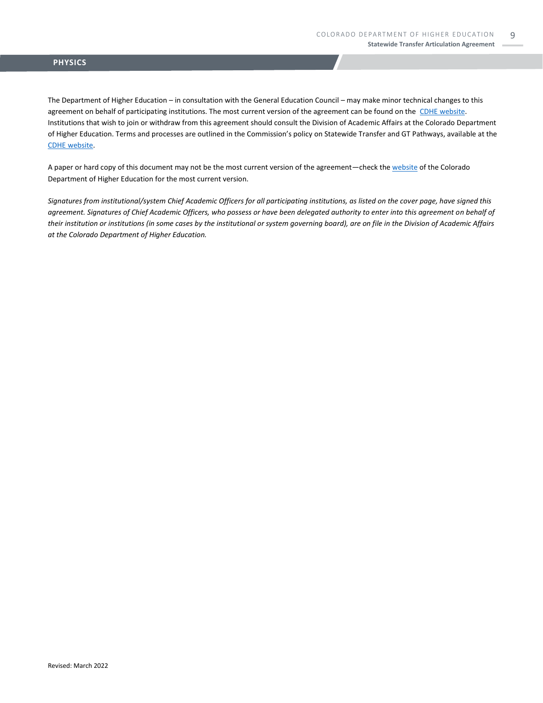#### **PHYSICS**

The Department of Higher Education – in consultation with the General Education Council – may make minor technical changes to this agreement on behalf of participating institutions. The most current version of the agreement can be found on the [CDHE website.](https://highered.colorado.gov/transfer-degrees) Institutions that wish to join or withdraw from this agreement should consult the Division of Academic Affairs at the Colorado Department of Higher Education. Terms and processes are outlined in the Commission's policy on Statewide Transfer and GT Pathways, available at the [CDHE website.](https://highered.colorado.gov/educators/policy-funding/general-education-ge-council/gtpathways/transfer-agreements)

A paper or hard copy of this document may not be the most current version of the agreement—check th[e website](https://highered.colorado.gov/transfer-degrees) of the Colorado Department of Higher Education for the most current version.

*Signatures from institutional/system Chief Academic Officers for all participating institutions, as listed on the cover page, have signed this agreement. Signatures of Chief Academic Officers, who possess or have been delegated authority to enter into this agreement on behalf of their institution or institutions (in some cases by the institutional or system governing board), are on file in the Division of Academic Affairs at the Colorado Department of Higher Education.*